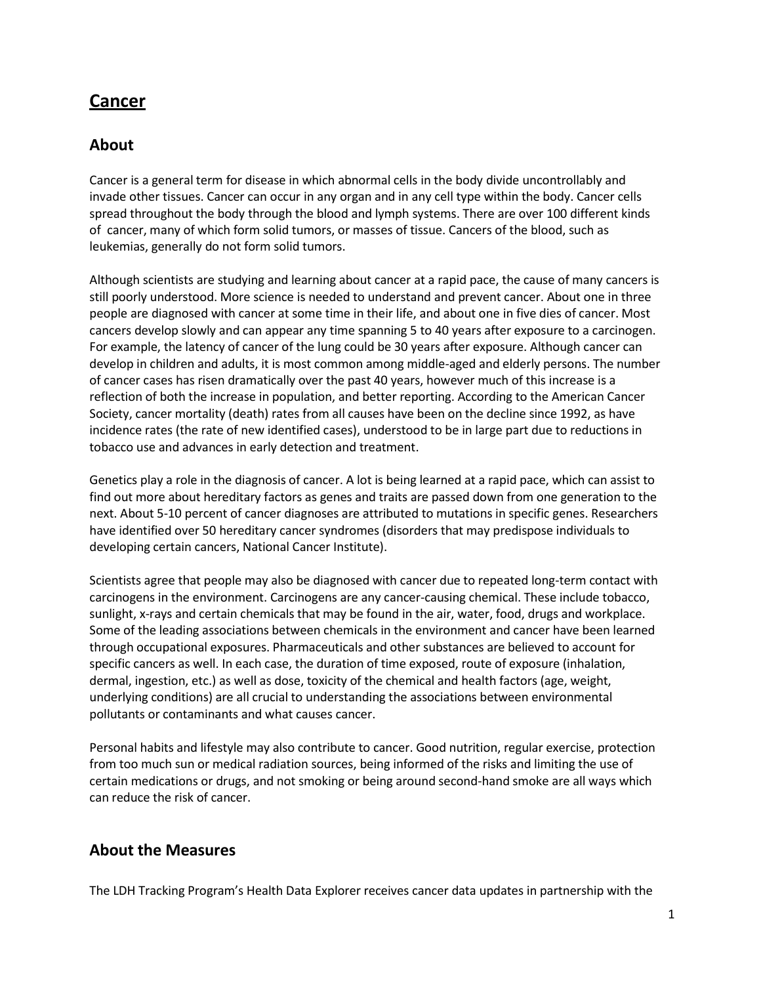# **Cancer**

## **About**

Cancer is a general term for disease in which abnormal cells in the body divide uncontrollably and invade other tissues. Cancer can occur in any organ and in any cell type within the body. Cancer cells spread throughout the body through the blood and lymph systems. There are over 100 different kinds of cancer, many of which form solid tumors, or masses of tissue. Cancers of the blood, such as leukemias, generally do not form solid tumors.

Although scientists are studying and learning about cancer at a rapid pace, the cause of many cancers is still poorly understood. More science is needed to understand and prevent cancer. About one in three people are diagnosed with cancer at some time in their life, and about one in five dies of cancer. Most cancers develop slowly and can appear any time spanning 5 to 40 years after exposure to a carcinogen. For example, the latency of cancer of the lung could be 30 years after exposure. Although cancer can develop in children and adults, it is most common among middle-aged and elderly persons. The number of cancer cases has risen dramatically over the past 40 years, however much of this increase is a reflection of both the increase in population, and better reporting. According to the American Cancer Society, cancer mortality (death) rates from all causes have been on the decline since 1992, as have incidence rates (the rate of new identified cases), understood to be in large part due to reductions in tobacco use and advances in [early detection](https://www.cancer.org/healthy/find-cancer-early.html) and [treatment.](https://www.cancer.org/treatment/treatments-and-side-effects.html)

Genetics play a role in the diagnosis of cancer. A lot is being learned at a rapid pace, which can assist to find out more about hereditary factors as genes and traits are passed down from one generation to the next. About 5-10 percent of cancer diagnoses are attributed to mutations in specific genes. Researchers have identified over 50 hereditary cancer syndromes (disorders that may predispose individuals to developing certain cancers, National Cancer Institute).

Scientists agree that people may also be diagnosed with cancer due to repeated long-term contact with carcinogens in the environment. Carcinogens are any cancer-causing chemical. These include tobacco, sunlight, x-rays and certain chemicals that may be found in the air, water, food, drugs and workplace. Some of the leading associations between chemicals in the environment and cancer have been learned through occupational exposures. Pharmaceuticals and other substances are believed to account for specific cancers as well. In each case, the duration of time exposed, route of exposure (inhalation, dermal, ingestion, etc.) as well as dose, toxicity of the chemical and health factors (age, weight, underlying conditions) are all crucial to understanding the associations between environmental pollutants or contaminants and what causes cancer.

Personal habits and lifestyle may also contribute to cancer. Good nutrition, regular exercise, protection from too much sun or medical radiation sources, being informed of the risks and limiting the use of certain medications or drugs, and not smoking or being around second-hand smoke are all ways which can reduce the risk of cancer.

### **About the Measures**

The LDH Tracking Program's Health Data Explorer receives cancer data updates in partnership with the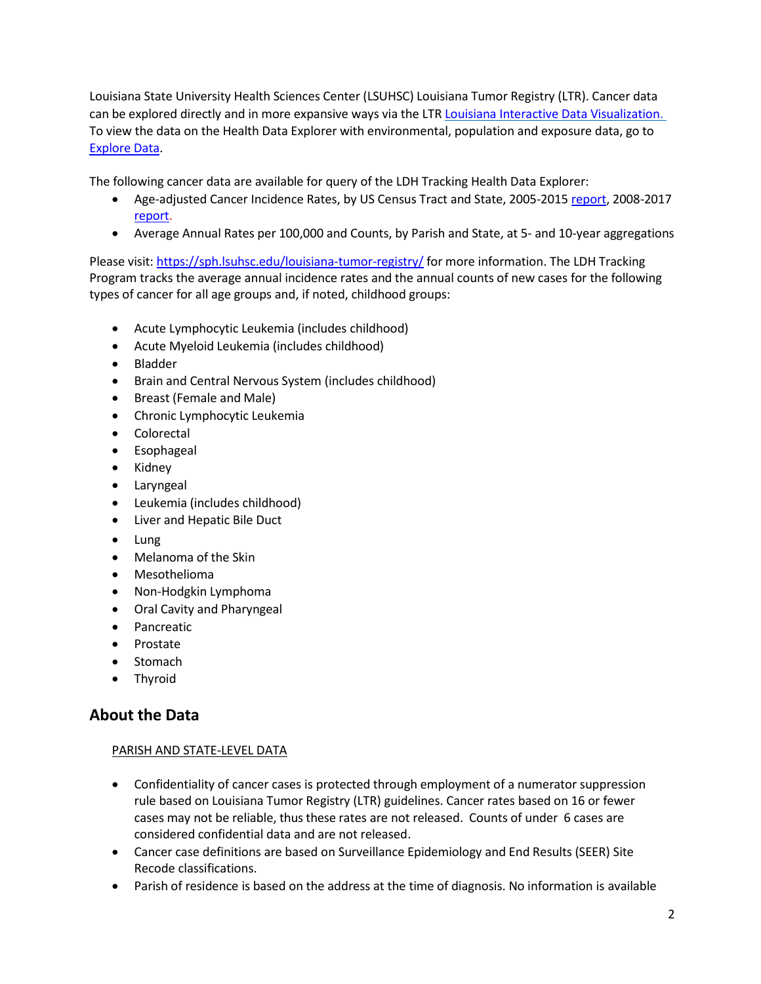Louisiana State University Health Sciences Center (LSUHSC) Louisiana Tumor Registry (LTR). Cancer data can be explored directly and in more expansive ways via the LTR [Louisiana Interactive Data Visualization.](https://sph.lsuhsc.edu/louisiana-tumor-registry/data-usestatistics/louisiana-data-interactive-statistics/) To view the data on the Health Data Explorer with environmental, population and exposure data, go to [Explore Data.](https://healthdata.ldh.la.gov/)

The following cancer data are available for query of the LDH Tracking Health Data Explorer:

- Age-adjusted Cancer Incidence Rates, by US Census Tract and State, 2005-201[5 report,](https://sph.lsuhsc.edu/wp-content/uploads/2019/04/01_Cancer-Incidence-in-LA-by-Census-Tract-2005-2015_FINAL_2019-4-26.pdf) 2008-2017 [report.](https://sph.lsuhsc.edu/wp-content/uploads/2021/03/01_Cancer-Incidence-in-LA-by-Census-Tract-2008-2017.pdf)
- Average Annual Rates per 100,000 and Counts, by Parish and State, at 5- and 10-year aggregations

Please visit:<https://sph.lsuhsc.edu/louisiana-tumor-registry/> for more information. The LDH Tracking Program tracks the average annual incidence rates and the annual counts of new cases for the following types of cancer for all age groups and, if noted, childhood groups:

- Acute Lymphocytic Leukemia (includes childhood)
- Acute Myeloid Leukemia (includes childhood)
- Bladder
- Brain and Central Nervous System (includes childhood)
- Breast (Female and Male)
- Chronic Lymphocytic Leukemia
- Colorectal
- Esophageal
- Kidney
- Laryngeal
- Leukemia (includes childhood)
- Liver and Hepatic Bile Duct
- Lung
- Melanoma of the Skin
- Mesothelioma
- Non-Hodgkin Lymphoma
- Oral Cavity and Pharyngeal
- Pancreatic
- Prostate
- **Stomach**
- Thyroid

# **About the Data**

#### PARISH AND STATE-LEVEL DATA

- Confidentiality of cancer cases is protected through employment of a numerator suppression rule based on Louisiana Tumor Registry (LTR) guidelines. Cancer rates based on 16 or fewer cases may not be reliable, thus these rates are not released. Counts of under 6 cases are considered confidential data and are not released.
- Cancer case definitions are based on Surveillance Epidemiology and End Results (SEER) Site Recode classifications.
- Parish of residence is based on the address at the time of diagnosis. No information is available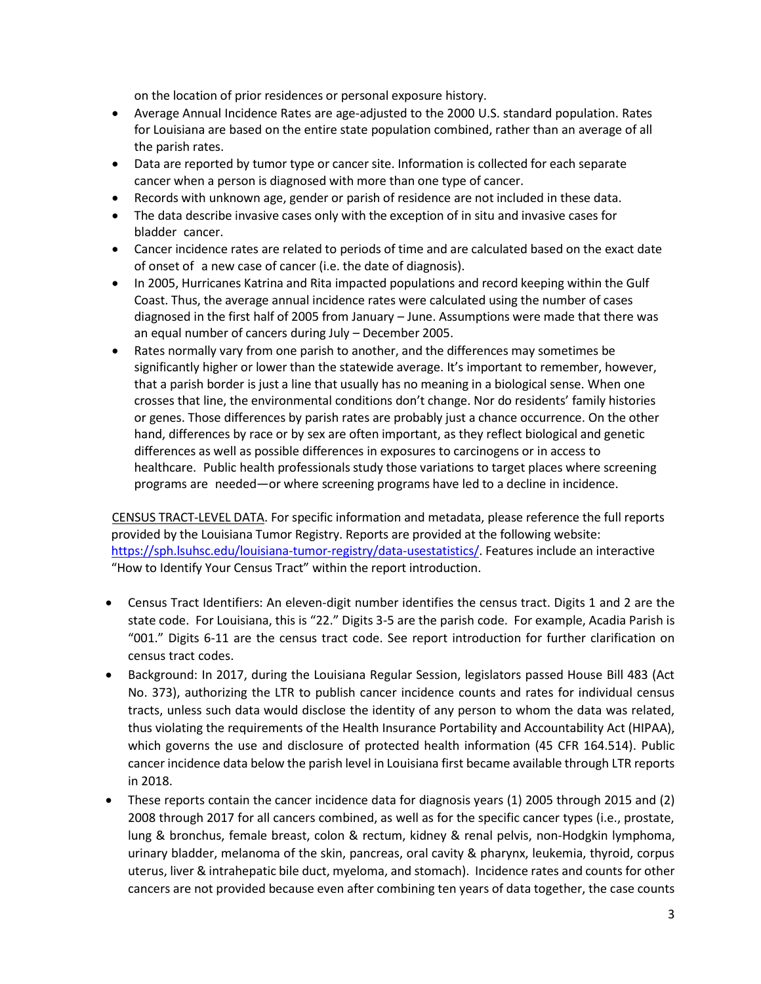on the location of prior residences or personal exposure history.

- Average Annual Incidence Rates are age-adjusted to the 2000 U.S. standard population. Rates for Louisiana are based on the entire state population combined, rather than an average of all the parish rates.
- Data are reported by tumor type or cancer site. Information is collected for each separate cancer when a person is diagnosed with more than one type of cancer.
- Records with unknown age, gender or parish of residence are not included in these data.
- The data describe invasive cases only with the exception of in situ and invasive cases for bladder cancer.
- Cancer incidence rates are related to periods of time and are calculated based on the exact date of onset of a new case of cancer (i.e. the date of diagnosis).
- In 2005, Hurricanes Katrina and Rita impacted populations and record keeping within the Gulf Coast. Thus, the average annual incidence rates were calculated using the number of cases diagnosed in the first half of 2005 from January – June. Assumptions were made that there was an equal number of cancers during July – December 2005.
- Rates normally vary from one parish to another, and the differences may sometimes be significantly higher or lower than the statewide average. It's important to remember, however, that a parish border is just a line that usually has no meaning in a biological sense. When one crosses that line, the environmental conditions don't change. Nor do residents' family histories or genes. Those differences by parish rates are probably just a chance occurrence. On the other hand, differences by race or by sex are often important, as they reflect biological and genetic differences as well as possible differences in exposures to carcinogens or in access to healthcare. Public health professionals study those variations to target places where screening programs are needed—or where screening programs have led to a decline in incidence.

CENSUS TRACT-LEVEL DATA. For specific information and metadata, please reference the full reports provided by the Louisiana Tumor Registry. Reports are provided at the following website: [https://sph.lsuhsc.edu/louisiana-tumor-registry/data-usestatistics/.](https://sph.lsuhsc.edu/louisiana-tumor-registry/data-usestatistics/) Features include an interactive "How to Identify Your Census Tract" within the report introduction.

- Census Tract Identifiers: An eleven-digit number identifies the census tract. Digits 1 and 2 are the state code. For Louisiana, this is "22." Digits 3-5 are the parish code. For example, Acadia Parish is "001." Digits 6-11 are the census tract code. See report introduction for further clarification on census tract codes.
- Background: In 2017, during the Louisiana Regular Session, legislators passed House Bill 483 (Act No. 373), authorizing the LTR to publish cancer incidence counts and rates for individual census tracts, unless such data would disclose the identity of any person to whom the data was related, thus violating the requirements of the Health Insurance Portability and Accountability Act (HIPAA), which governs the use and disclosure of protected health information (45 CFR 164.514). Public cancer incidence data below the parish level in Louisiana first became available through LTR reports in 2018.
- These reports contain the cancer incidence data for diagnosis years (1) 2005 through 2015 and (2) 2008 through 2017 for all cancers combined, as well as for the specific cancer types (i.e., prostate, lung & bronchus, female breast, colon & rectum, kidney & renal pelvis, non-Hodgkin lymphoma, urinary bladder, melanoma of the skin, pancreas, oral cavity & pharynx, leukemia, thyroid, corpus uterus, liver & intrahepatic bile duct, myeloma, and stomach). Incidence rates and counts for other cancers are not provided because even after combining ten years of data together, the case counts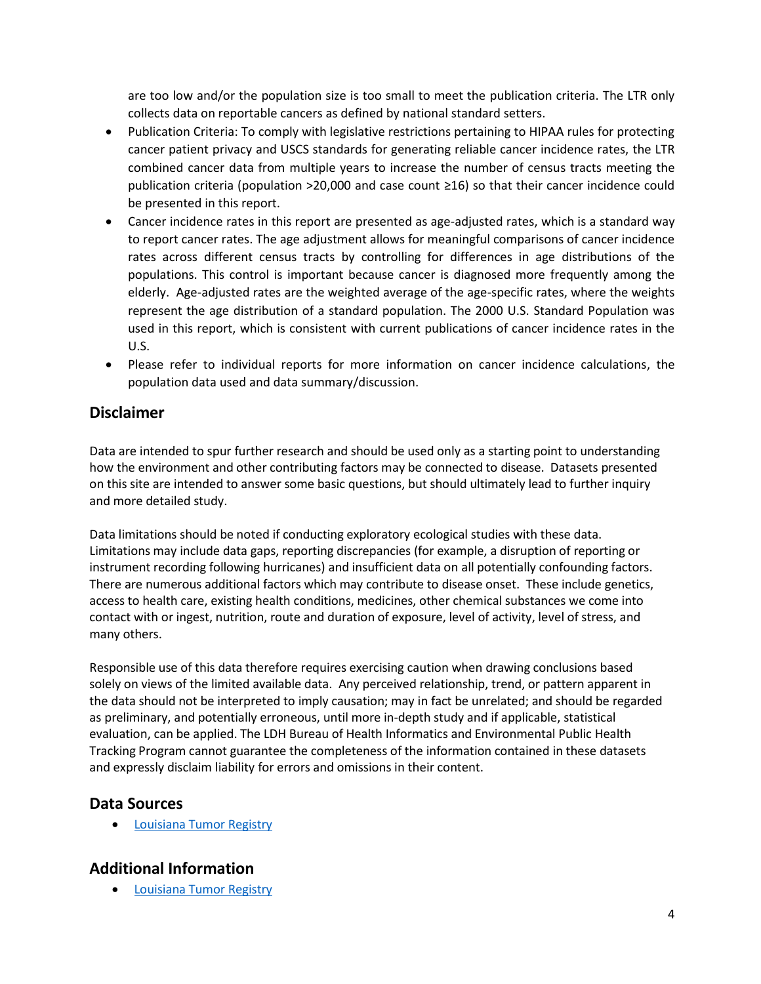are too low and/or the population size is too small to meet the publication criteria. The LTR only collects data on reportable cancers as defined by national standard setters.

- Publication Criteria: To comply with legislative restrictions pertaining to HIPAA rules for protecting cancer patient privacy and USCS standards for generating reliable cancer incidence rates, the LTR combined cancer data from multiple years to increase the number of census tracts meeting the publication criteria (population >20,000 and case count ≥16) so that their cancer incidence could be presented in this report.
- Cancer incidence rates in this report are presented as age-adjusted rates, which is a standard way to report cancer rates. The age adjustment allows for meaningful comparisons of cancer incidence rates across different census tracts by controlling for differences in age distributions of the populations. This control is important because cancer is diagnosed more frequently among the elderly. Age-adjusted rates are the weighted average of the age-specific rates, where the weights represent the age distribution of a standard population. The 2000 U.S. Standard Population was used in this report, which is consistent with current publications of cancer incidence rates in the U.S.
- Please refer to individual reports for more information on cancer incidence calculations, the population data used and data summary/discussion.

# **Disclaimer**

Data are intended to spur further research and should be used only as a starting point to understanding how the environment and other contributing factors may be connected to disease. Datasets presented on this site are intended to answer some basic questions, but should ultimately lead to further inquiry and more detailed study.

Data limitations should be noted if conducting exploratory ecological studies with these data. Limitations may include data gaps, reporting discrepancies (for example, a disruption of reporting or instrument recording following hurricanes) and insufficient data on all potentially confounding factors. There are numerous additional factors which may contribute to disease onset. These include genetics, access to health care, existing health conditions, medicines, other chemical substances we come into contact with or ingest, nutrition, route and duration of exposure, level of activity, level of stress, and many others.

Responsible use of this data therefore requires exercising caution when drawing conclusions based solely on views of the limited available data. Any perceived relationship, trend, or pattern apparent in the data should not be interpreted to imply causation; may in fact be unrelated; and should be regarded as preliminary, and potentially erroneous, until more in-depth study and if applicable, statistical evaluation, can be applied. The LDH Bureau of Health Informatics and Environmental Public Health Tracking Program cannot guarantee the completeness of the information contained in these datasets and expressly disclaim liability for errors and omissions in their content.

### **Data Sources**

**•** [Louisiana](http://sph.lsuhsc.edu/louisiana-tumor-registry) Tumor Registry

# **Additional Information**

**•** [Louisiana](http://louisianatumorregistry.lsuhsc.edu/) Tumor Registry